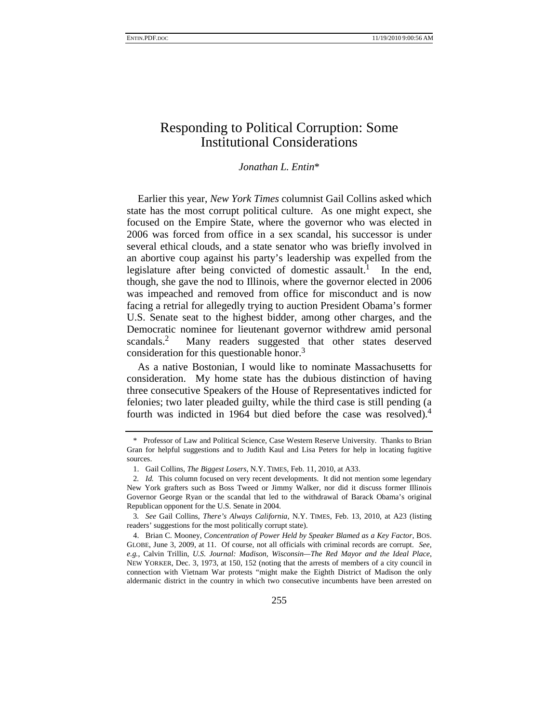# Responding to Political Corruption: Some Institutional Considerations

## *Jonathan L. Entin*\*

Earlier this year, *New York Times* columnist Gail Collins asked which state has the most corrupt political culture. As one might expect, she focused on the Empire State, where the governor who was elected in 2006 was forced from office in a sex scandal, his successor is under several ethical clouds, and a state senator who was briefly involved in an abortive coup against his party's leadership was expelled from the legislature after being convicted of domestic assault.<sup>1</sup> In the end, though, she gave the nod to Illinois, where the governor elected in 2006 was impeached and removed from office for misconduct and is now facing a retrial for allegedly trying to auction President Obama's former U.S. Senate seat to the highest bidder, among other charges, and the Democratic nominee for lieutenant governor withdrew amid personal scandals.<sup>2</sup> Many readers suggested that other states deserved consideration for this questionable honor.<sup>3</sup>

As a native Bostonian, I would like to nominate Massachusetts for consideration. My home state has the dubious distinction of having three consecutive Speakers of the House of Representatives indicted for felonies; two later pleaded guilty, while the third case is still pending (a fourth was indicted in 1964 but died before the case was resolved).<sup>4</sup>

<sup>\*</sup> Professor of Law and Political Science, Case Western Reserve University. Thanks to Brian Gran for helpful suggestions and to Judith Kaul and Lisa Peters for help in locating fugitive sources.

<sup>1.</sup> Gail Collins, *The Biggest Losers*, N.Y. TIMES, Feb. 11, 2010, at A33.

<sup>2</sup>*. Id.* This column focused on very recent developments. It did not mention some legendary New York grafters such as Boss Tweed or Jimmy Walker, nor did it discuss former Illinois Governor George Ryan or the scandal that led to the withdrawal of Barack Obama's original Republican opponent for the U.S. Senate in 2004.

<sup>3</sup>*. See* Gail Collins, *There's Always California*, N.Y. TIMES, Feb. 13, 2010, at A23 (listing readers' suggestions for the most politically corrupt state).

<sup>4.</sup> Brian C. Mooney, *Concentration of Power Held by Speaker Blamed as a Key Factor*, BOS. GLOBE, June 3, 2009, at 11. Of course, not all officials with criminal records are corrupt. *See, e.g.*, Calvin Trillin, *U.S. Journal: Madison, Wisconsin—The Red Mayor and the Ideal Place*, NEW YORKER, Dec. 3, 1973, at 150, 152 (noting that the arrests of members of a city council in connection with Vietnam War protests "might make the Eighth District of Madison the only aldermanic district in the country in which two consecutive incumbents have been arrested on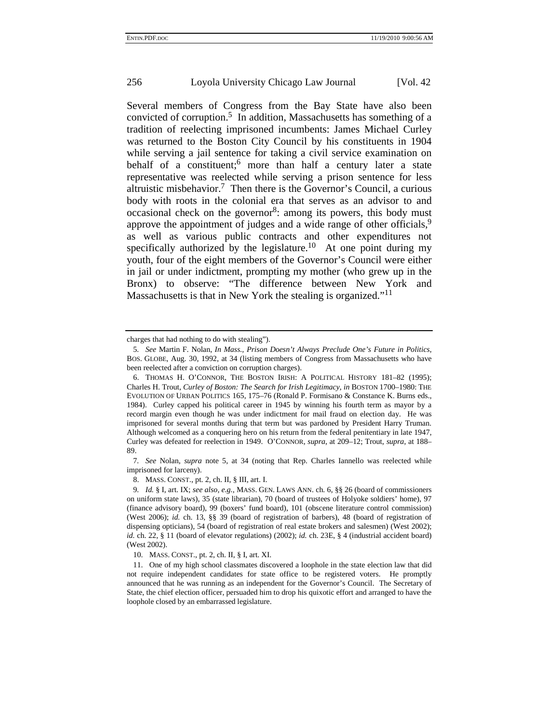Several members of Congress from the Bay State have also been convicted of corruption.5 In addition, Massachusetts has something of a tradition of reelecting imprisoned incumbents: James Michael Curley was returned to the Boston City Council by his constituents in 1904 while serving a jail sentence for taking a civil service examination on behalf of a constituent; more than half a century later a state representative was reelected while serving a prison sentence for less altruistic misbehavior.<sup>7</sup> Then there is the Governor's Council, a curious body with roots in the colonial era that serves as an advisor to and occasional check on the governor<sup>8</sup>: among its powers, this body must approve the appointment of judges and a wide range of other officials,  $9$ as well as various public contracts and other expenditures not specifically authorized by the legislature.<sup>10</sup> At one point during my youth, four of the eight members of the Governor's Council were either in jail or under indictment, prompting my mother (who grew up in the Bronx) to observe: "The difference between New York and Massachusetts is that in New York the stealing is organized."<sup>11</sup>

7*. See* Nolan, *supra* note 5, at 34 (noting that Rep. Charles Iannello was reelected while imprisoned for larceny).

8. MASS. CONST., pt. 2, ch. II, § III, art. I.

10. MASS. CONST., pt. 2, ch. II, § I, art. XI.

11. One of my high school classmates discovered a loophole in the state election law that did not require independent candidates for state office to be registered voters. He promptly announced that he was running as an independent for the Governor's Council. The Secretary of State, the chief election officer, persuaded him to drop his quixotic effort and arranged to have the loophole closed by an embarrassed legislature.

charges that had nothing to do with stealing").

<sup>5</sup>*. See* Martin F. Nolan, *In Mass., Prison Doesn't Always Preclude One's Future in Politics*, BOS. GLOBE, Aug. 30, 1992, at 34 (listing members of Congress from Massachusetts who have been reelected after a conviction on corruption charges).

<sup>6.</sup> THOMAS H. O'CONNOR, THE BOSTON IRISH: A POLITICAL HISTORY 181–82 (1995); Charles H. Trout, *Curley of Boston: The Search for Irish Legitimacy*, *in* BOSTON 1700–1980: THE EVOLUTION OF URBAN POLITICS 165, 175–76 (Ronald P. Formisano & Constance K. Burns eds., 1984). Curley capped his political career in 1945 by winning his fourth term as mayor by a record margin even though he was under indictment for mail fraud on election day. He was imprisoned for several months during that term but was pardoned by President Harry Truman. Although welcomed as a conquering hero on his return from the federal penitentiary in late 1947, Curley was defeated for reelection in 1949. O'CONNOR, *supra*, at 209–12; Trout, *supra*, at 188– 89.

<sup>9</sup>*. Id.* § I, art. IX; *see also, e.g.*, MASS. GEN. LAWS ANN. ch. 6, §§ 26 (board of commissioners on uniform state laws), 35 (state librarian), 70 (board of trustees of Holyoke soldiers' home), 97 (finance advisory board), 99 (boxers' fund board), 101 (obscene literature control commission) (West 2006); *id.* ch. 13, §§ 39 (board of registration of barbers), 48 (board of registration of dispensing opticians), 54 (board of registration of real estate brokers and salesmen) (West 2002); *id.* ch. 22, § 11 (board of elevator regulations) (2002); *id.* ch. 23E, § 4 (industrial accident board) (West 2002).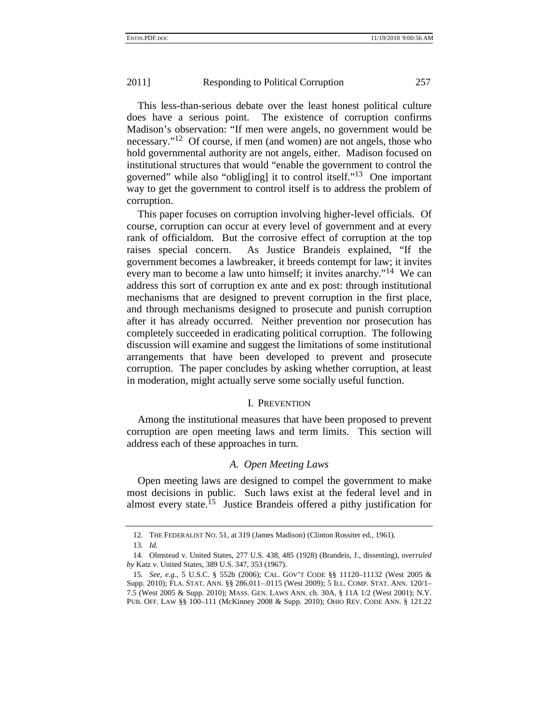This less-than-serious debate over the least honest political culture does have a serious point. The existence of corruption confirms Madison's observation: "If men were angels, no government would be necessary."<sup>12</sup> Of course, if men (and women) are not angels, those who hold governmental authority are not angels, either. Madison focused on institutional structures that would "enable the government to control the governed" while also "oblig[ing] it to control itself."13 One important way to get the government to control itself is to address the problem of corruption.

This paper focuses on corruption involving higher-level officials. Of course, corruption can occur at every level of government and at every rank of officialdom. But the corrosive effect of corruption at the top raises special concern. As Justice Brandeis explained, "If the government becomes a lawbreaker, it breeds contempt for law; it invites every man to become a law unto himself; it invites anarchy."<sup>14</sup> We can address this sort of corruption ex ante and ex post: through institutional mechanisms that are designed to prevent corruption in the first place, and through mechanisms designed to prosecute and punish corruption after it has already occurred. Neither prevention nor prosecution has completely succeeded in eradicating political corruption. The following discussion will examine and suggest the limitations of some institutional arrangements that have been developed to prevent and prosecute corruption. The paper concludes by asking whether corruption, at least in moderation, might actually serve some socially useful function.

## I. PREVENTION

Among the institutional measures that have been proposed to prevent corruption are open meeting laws and term limits. This section will address each of these approaches in turn.

## *A. Open Meeting Laws*

Open meeting laws are designed to compel the government to make most decisions in public. Such laws exist at the federal level and in almost every state.15 Justice Brandeis offered a pithy justification for

<sup>12.</sup> THE FEDERALIST NO. 51, at 319 (James Madison) (Clinton Rossiter ed., 1961).

<sup>13</sup>*. Id.*

<sup>14.</sup> Olmstead v. United States, 277 U.S. 438, 485 (1928) (Brandeis, J., dissenting), *overruled by* Katz v. United States, 389 U.S. 347, 353 (1967).

<sup>15</sup>*. See, e.g.*, 5 U.S.C. § 552b (2006); CAL. GOV'T CODE §§ 11120–11132 (West 2005 & Supp. 2010); FLA. STAT. ANN. §§ 286.011–.0115 (West 2009); 5 ILL. COMP. STAT. ANN. 120/1– 7.5 (West 2005 & Supp. 2010); MASS. GEN. LAWS ANN. ch. 30A, § 11A 1/2 (West 2001); N.Y. PUB. OFF. LAW §§ 100–111 (McKinney 2008 & Supp. 2010); OHIO REV. CODE ANN. § 121.22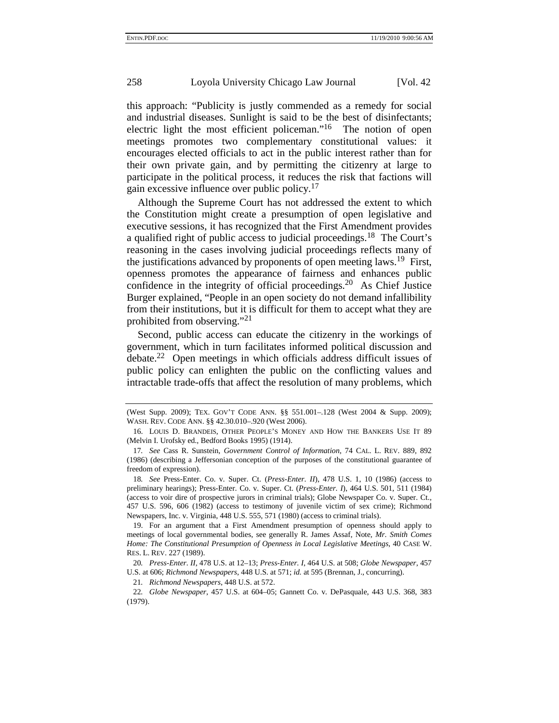this approach: "Publicity is justly commended as a remedy for social and industrial diseases. Sunlight is said to be the best of disinfectants; electric light the most efficient policeman."<sup>16</sup> The notion of open meetings promotes two complementary constitutional values: it encourages elected officials to act in the public interest rather than for their own private gain, and by permitting the citizenry at large to participate in the political process, it reduces the risk that factions will gain excessive influence over public policy.<sup>17</sup>

Although the Supreme Court has not addressed the extent to which the Constitution might create a presumption of open legislative and executive sessions, it has recognized that the First Amendment provides a qualified right of public access to judicial proceedings.18 The Court's reasoning in the cases involving judicial proceedings reflects many of the justifications advanced by proponents of open meeting laws.<sup>19</sup> First, openness promotes the appearance of fairness and enhances public confidence in the integrity of official proceedings.<sup>20</sup> As Chief Justice Burger explained, "People in an open society do not demand infallibility from their institutions, but it is difficult for them to accept what they are prohibited from observing." $^{21}$ 

Second, public access can educate the citizenry in the workings of government, which in turn facilitates informed political discussion and debate.22 Open meetings in which officials address difficult issues of public policy can enlighten the public on the conflicting values and intractable trade-offs that affect the resolution of many problems, which

<sup>(</sup>West Supp. 2009); TEX. GOV'T CODE ANN. §§ 551.001–.128 (West 2004 & Supp. 2009); WASH. REV. CODE ANN. §§ 42.30.010–.920 (West 2006).

<sup>16.</sup> LOUIS D. BRANDEIS, OTHER PEOPLE'S MONEY AND HOW THE BANKERS USE IT 89 (Melvin I. Urofsky ed., Bedford Books 1995) (1914).

<sup>17</sup>*. See* Cass R. Sunstein, *Government Control of Information*, 74 CAL. L. REV. 889, 892 (1986) (describing a Jeffersonian conception of the purposes of the constitutional guarantee of freedom of expression).

<sup>18</sup>*. See* Press-Enter. Co. v. Super. Ct. (*Press-Enter. II*), 478 U.S. 1, 10 (1986) (access to preliminary hearings); Press-Enter. Co. v. Super. Ct. (*Press-Enter. I*), 464 U.S. 501, 511 (1984) (access to voir dire of prospective jurors in criminal trials); Globe Newspaper Co. v. Super. Ct., 457 U.S. 596, 606 (1982) (access to testimony of juvenile victim of sex crime); Richmond Newspapers, Inc. v. Virginia, 448 U.S. 555, 571 (1980) (access to criminal trials).

<sup>19.</sup> For an argument that a First Amendment presumption of openness should apply to meetings of local governmental bodies, see generally R. James Assaf, Note, *Mr. Smith Comes Home: The Constitutional Presumption of Openness in Local Legislative Meetings*, 40 CASE W. RES. L. REV. 227 (1989).

<sup>20</sup>*. Press-Enter. II*, 478 U.S. at 12–13; *Press-Enter. I*, 464 U.S. at 508; *Globe Newspaper*, 457 U.S. at 606; *Richmond Newspapers*, 448 U.S. at 571; *id.* at 595 (Brennan, J., concurring).

<sup>21</sup>*. Richmond Newspapers*, 448 U.S. at 572.

<sup>22</sup>*. Globe Newspaper*, 457 U.S. at 604–05; Gannett Co. v. DePasquale, 443 U.S. 368, 383 (1979).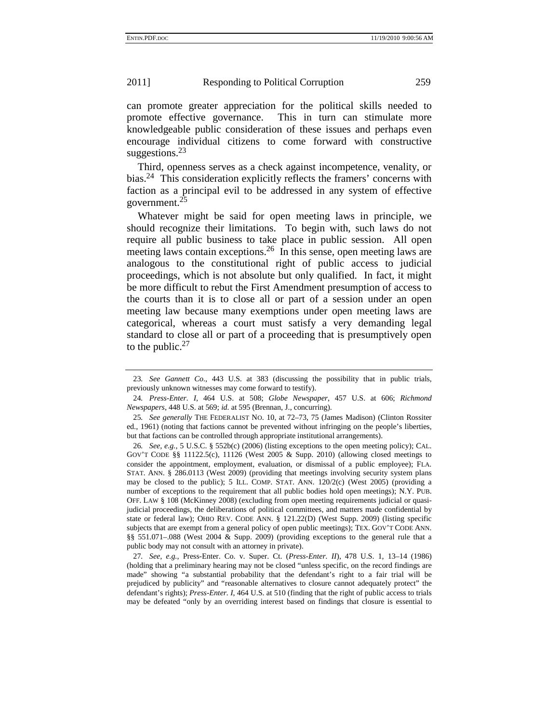can promote greater appreciation for the political skills needed to promote effective governance. This in turn can stimulate more knowledgeable public consideration of these issues and perhaps even encourage individual citizens to come forward with constructive suggestions.<sup>23</sup>

Third, openness serves as a check against incompetence, venality, or bias.<sup>24</sup> This consideration explicitly reflects the framers' concerns with faction as a principal evil to be addressed in any system of effective government.25

Whatever might be said for open meeting laws in principle, we should recognize their limitations. To begin with, such laws do not require all public business to take place in public session. All open meeting laws contain exceptions.<sup>26</sup> In this sense, open meeting laws are analogous to the constitutional right of public access to judicial proceedings, which is not absolute but only qualified. In fact, it might be more difficult to rebut the First Amendment presumption of access to the courts than it is to close all or part of a session under an open meeting law because many exemptions under open meeting laws are categorical, whereas a court must satisfy a very demanding legal standard to close all or part of a proceeding that is presumptively open to the public. $27$ 

27*. See, e.g.*, Press-Enter. Co. v. Super. Ct. (*Press-Enter. II*), 478 U.S. 1, 13–14 (1986) (holding that a preliminary hearing may not be closed "unless specific, on the record findings are made" showing "a substantial probability that the defendant's right to a fair trial will be prejudiced by publicity" and "reasonable alternatives to closure cannot adequately protect" the defendant's rights); *Press-Enter. I*, 464 U.S. at 510 (finding that the right of public access to trials may be defeated "only by an overriding interest based on findings that closure is essential to

<sup>23</sup>*. See Gannett Co.*, 443 U.S. at 383 (discussing the possibility that in public trials, previously unknown witnesses may come forward to testify).

<sup>24</sup>*. Press-Enter. I*, 464 U.S. at 508; *Globe Newspaper*, 457 U.S. at 606; *Richmond Newspapers*, 448 U.S. at 569; *id.* at 595 (Brennan, J., concurring).

<sup>25</sup>*. See generally* THE FEDERALIST NO. 10, at 72–73, 75 (James Madison) (Clinton Rossiter ed., 1961) (noting that factions cannot be prevented without infringing on the people's liberties, but that factions can be controlled through appropriate institutional arrangements).

<sup>26</sup>*. See, e.g.*, 5 U.S.C. § 552b(c) (2006) (listing exceptions to the open meeting policy); CAL. GOV'T CODE §§ 11122.5(c), 11126 (West 2005 & Supp. 2010) (allowing closed meetings to consider the appointment, employment, evaluation, or dismissal of a public employee); FLA. STAT. ANN. § 286.0113 (West 2009) (providing that meetings involving security system plans may be closed to the public); 5 ILL. COMP. STAT. ANN.  $120/2(c)$  (West 2005) (providing a number of exceptions to the requirement that all public bodies hold open meetings); N.Y. PUB. OFF. LAW § 108 (McKinney 2008) (excluding from open meeting requirements judicial or quasijudicial proceedings, the deliberations of political committees, and matters made confidential by state or federal law); OHIO REV. CODE ANN. § 121.22(D) (West Supp. 2009) (listing specific subjects that are exempt from a general policy of open public meetings); TEX. GOV'T CODE ANN. §§ 551.071–.088 (West 2004 & Supp. 2009) (providing exceptions to the general rule that a public body may not consult with an attorney in private).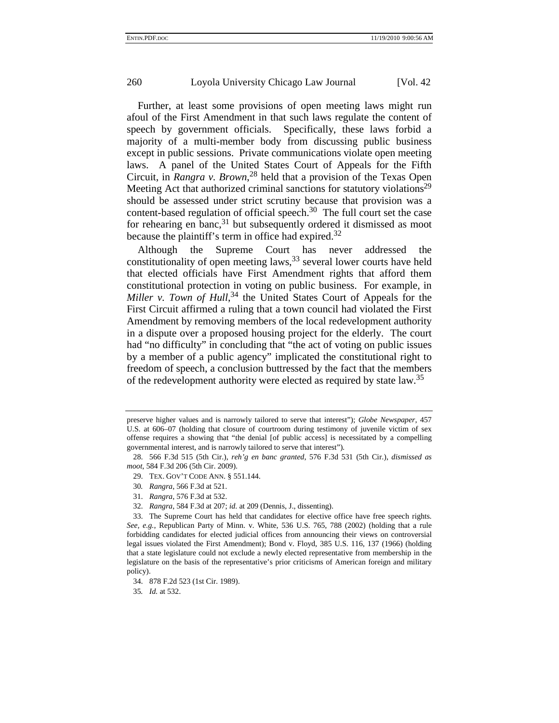Further, at least some provisions of open meeting laws might run afoul of the First Amendment in that such laws regulate the content of speech by government officials. Specifically, these laws forbid a majority of a multi-member body from discussing public business except in public sessions. Private communications violate open meeting laws. A panel of the United States Court of Appeals for the Fifth Circuit, in *Rangra v. Brown*, 28 held that a provision of the Texas Open Meeting Act that authorized criminal sanctions for statutory violations<sup>29</sup> should be assessed under strict scrutiny because that provision was a content-based regulation of official speech.<sup>30</sup> The full court set the case for rehearing en banc,<sup>31</sup> but subsequently ordered it dismissed as moot because the plaintiff's term in office had expired.<sup>32</sup>

Although the Supreme Court has never addressed the constitutionality of open meeting laws,  $33$  several lower courts have held that elected officials have First Amendment rights that afford them constitutional protection in voting on public business. For example, in Miller v. Town of Hull,<sup>34</sup> the United States Court of Appeals for the First Circuit affirmed a ruling that a town council had violated the First Amendment by removing members of the local redevelopment authority in a dispute over a proposed housing project for the elderly. The court had "no difficulty" in concluding that "the act of voting on public issues by a member of a public agency" implicated the constitutional right to freedom of speech, a conclusion buttressed by the fact that the members of the redevelopment authority were elected as required by state law.<sup>35</sup>

30*. Rangra*, 566 F.3d at 521.

32. *Rangra*, 584 F.3d at 207; *id.* at 209 (Dennis, J., dissenting).

preserve higher values and is narrowly tailored to serve that interest"); *Globe Newspaper*, 457 U.S. at 606–07 (holding that closure of courtroom during testimony of juvenile victim of sex offense requires a showing that "the denial [of public access] is necessitated by a compelling governmental interest, and is narrowly tailored to serve that interest").

<sup>28. 566</sup> F.3d 515 (5th Cir.), *reh'g en banc granted*, 576 F.3d 531 (5th Cir.), *dismissed as moot*, 584 F.3d 206 (5th Cir. 2009).

<sup>29.</sup> TEX. GOV'T CODE ANN. § 551.144.

<sup>31.</sup> *Rangra*, 576 F.3d at 532.

<sup>33.</sup> The Supreme Court has held that candidates for elective office have free speech rights. *See, e.g.*, Republican Party of Minn. v. White, 536 U.S. 765, 788 (2002) (holding that a rule forbidding candidates for elected judicial offices from announcing their views on controversial legal issues violated the First Amendment); Bond v. Floyd, 385 U.S. 116, 137 (1966) (holding that a state legislature could not exclude a newly elected representative from membership in the legislature on the basis of the representative's prior criticisms of American foreign and military policy).

<sup>34. 878</sup> F.2d 523 (1st Cir. 1989).

<sup>35</sup>*. Id.* at 532.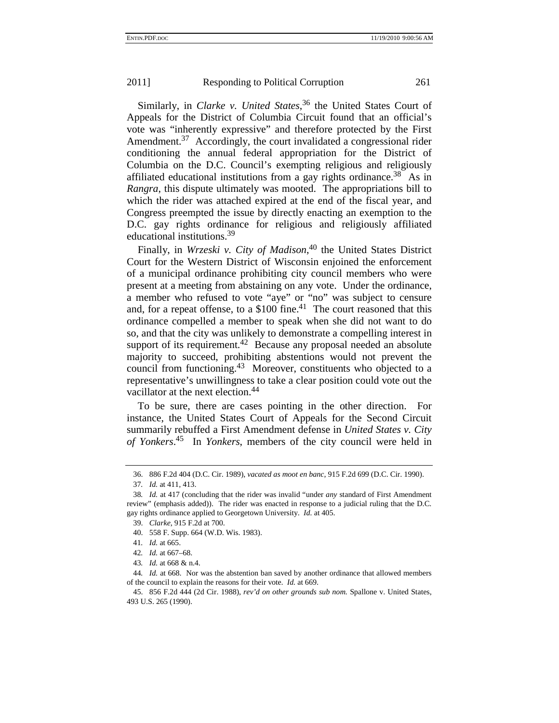Similarly, in *Clarke v. United States*, 36 the United States Court of Appeals for the District of Columbia Circuit found that an official's vote was "inherently expressive" and therefore protected by the First Amendment.<sup>37</sup> Accordingly, the court invalidated a congressional rider conditioning the annual federal appropriation for the District of Columbia on the D.C. Council's exempting religious and religiously affiliated educational institutions from a gay rights ordinance.<sup>38</sup> As in *Rangra*, this dispute ultimately was mooted. The appropriations bill to which the rider was attached expired at the end of the fiscal year, and Congress preempted the issue by directly enacting an exemption to the D.C. gay rights ordinance for religious and religiously affiliated educational institutions.<sup>39</sup>

Finally, in *Wrzeski v. City of Madison*, 40 the United States District Court for the Western District of Wisconsin enjoined the enforcement of a municipal ordinance prohibiting city council members who were present at a meeting from abstaining on any vote. Under the ordinance, a member who refused to vote "aye" or "no" was subject to censure and, for a repeat offense, to a  $$100$  fine.<sup>41</sup> The court reasoned that this ordinance compelled a member to speak when she did not want to do so, and that the city was unlikely to demonstrate a compelling interest in support of its requirement.<sup>42</sup> Because any proposal needed an absolute majority to succeed, prohibiting abstentions would not prevent the council from functioning.<sup>43</sup> Moreover, constituents who objected to a representative's unwillingness to take a clear position could vote out the vacillator at the next election.<sup>44</sup>

To be sure, there are cases pointing in the other direction. For instance, the United States Court of Appeals for the Second Circuit summarily rebuffed a First Amendment defense in *United States v. City of Yonkers*. 45 In *Yonkers*, members of the city council were held in

39. *Clarke*, 915 F.2d at 700.

<sup>36. 886</sup> F.2d 404 (D.C. Cir. 1989), *vacated as moot en banc*, 915 F.2d 699 (D.C. Cir. 1990).

<sup>37</sup>*. Id.* at 411, 413.

<sup>38</sup>*. Id.* at 417 (concluding that the rider was invalid "under *any* standard of First Amendment review" (emphasis added)). The rider was enacted in response to a judicial ruling that the D.C. gay rights ordinance applied to Georgetown University. *Id.* at 405.

<sup>40. 558</sup> F. Supp. 664 (W.D. Wis. 1983).

<sup>41</sup>*. Id.* at 665.

<sup>42</sup>*. Id.* at 667–68.

<sup>43</sup>*. Id.* at 668 & n.4.

<sup>44</sup>*. Id.* at 668. Nor was the abstention ban saved by another ordinance that allowed members of the council to explain the reasons for their vote. *Id.* at 669.

<sup>45. 856</sup> F.2d 444 (2d Cir. 1988), *rev'd on other grounds sub nom.* Spallone v. United States, 493 U.S. 265 (1990).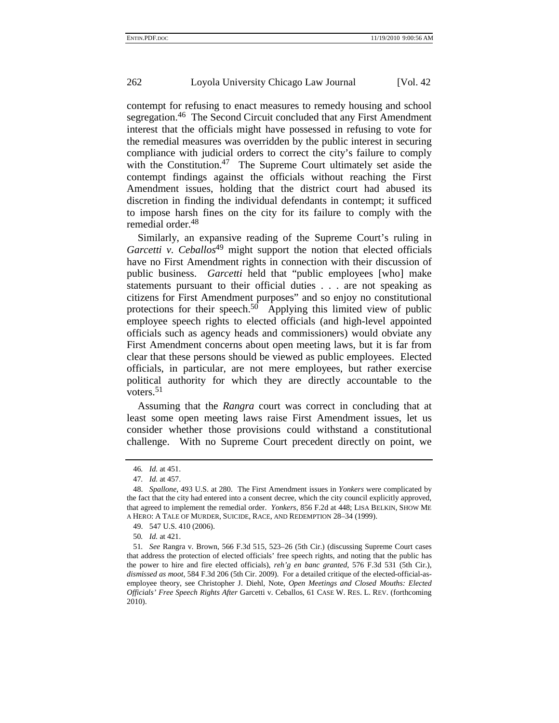contempt for refusing to enact measures to remedy housing and school segregation.<sup>46</sup> The Second Circuit concluded that any First Amendment interest that the officials might have possessed in refusing to vote for the remedial measures was overridden by the public interest in securing compliance with judicial orders to correct the city's failure to comply with the Constitution.<sup>47</sup> The Supreme Court ultimately set aside the contempt findings against the officials without reaching the First Amendment issues, holding that the district court had abused its discretion in finding the individual defendants in contempt; it sufficed to impose harsh fines on the city for its failure to comply with the remedial order.<sup>48</sup>

Similarly, an expansive reading of the Supreme Court's ruling in *Garcetti v. Ceballos*<sup>49</sup> might support the notion that elected officials have no First Amendment rights in connection with their discussion of public business. *Garcetti* held that "public employees [who] make statements pursuant to their official duties . . . are not speaking as citizens for First Amendment purposes" and so enjoy no constitutional protections for their speech. $50$  Applying this limited view of public employee speech rights to elected officials (and high-level appointed officials such as agency heads and commissioners) would obviate any First Amendment concerns about open meeting laws, but it is far from clear that these persons should be viewed as public employees. Elected officials, in particular, are not mere employees, but rather exercise political authority for which they are directly accountable to the voters. $51$ 

Assuming that the *Rangra* court was correct in concluding that at least some open meeting laws raise First Amendment issues, let us consider whether those provisions could withstand a constitutional challenge. With no Supreme Court precedent directly on point, we

<sup>46</sup>*. Id.* at 451.

<sup>47</sup>*. Id.* at 457.

<sup>48.</sup> *Spallone*, 493 U.S. at 280. The First Amendment issues in *Yonkers* were complicated by the fact that the city had entered into a consent decree, which the city council explicitly approved, that agreed to implement the remedial order. *Yonkers*, 856 F.2d at 448; LISA BELKIN, SHOW ME A HERO: A TALE OF MURDER, SUICIDE, RACE, AND REDEMPTION 28–34 (1999).

<sup>49. 547</sup> U.S. 410 (2006).

<sup>50</sup>*. Id.* at 421.

<sup>51</sup>*. See* Rangra v. Brown, 566 F.3d 515, 523–26 (5th Cir.) (discussing Supreme Court cases that address the protection of elected officials' free speech rights, and noting that the public has the power to hire and fire elected officials), *reh'g en banc granted*, 576 F.3d 531 (5th Cir.), *dismissed as moot*, 584 F.3d 206 (5th Cir. 2009). For a detailed critique of the elected-official-asemployee theory, see Christopher J. Diehl, Note, *Open Meetings and Closed Mouths: Elected Officials' Free Speech Rights After* Garcetti v. Ceballos, 61 CASE W. RES. L. REV. (forthcoming 2010).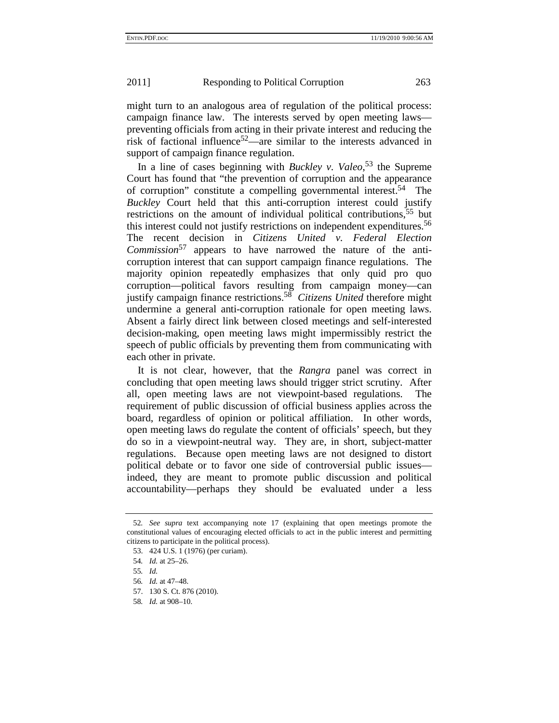might turn to an analogous area of regulation of the political process: campaign finance law. The interests served by open meeting laws preventing officials from acting in their private interest and reducing the risk of factional influence<sup>52</sup>—are similar to the interests advanced in support of campaign finance regulation.

In a line of cases beginning with *Buckley v. Valeo*, 53 the Supreme Court has found that "the prevention of corruption and the appearance of corruption" constitute a compelling governmental interest.<sup>54</sup> The *Buckley* Court held that this anti-corruption interest could justify restrictions on the amount of individual political contributions,<sup>55</sup> but this interest could not justify restrictions on independent expenditures.<sup>56</sup> The recent decision in *Citizens United v. Federal Election Commission*<sup>57</sup> appears to have narrowed the nature of the anticorruption interest that can support campaign finance regulations. The majority opinion repeatedly emphasizes that only quid pro quo corruption—political favors resulting from campaign money—can justify campaign finance restrictions.58 *Citizens United* therefore might undermine a general anti-corruption rationale for open meeting laws. Absent a fairly direct link between closed meetings and self-interested decision-making, open meeting laws might impermissibly restrict the speech of public officials by preventing them from communicating with each other in private.

It is not clear, however, that the *Rangra* panel was correct in concluding that open meeting laws should trigger strict scrutiny. After all, open meeting laws are not viewpoint-based regulations. The requirement of public discussion of official business applies across the board, regardless of opinion or political affiliation. In other words, open meeting laws do regulate the content of officials' speech, but they do so in a viewpoint-neutral way. They are, in short, subject-matter regulations. Because open meeting laws are not designed to distort political debate or to favor one side of controversial public issues indeed, they are meant to promote public discussion and political accountability—perhaps they should be evaluated under a less

<sup>52</sup>*. See supra* text accompanying note 17 (explaining that open meetings promote the constitutional values of encouraging elected officials to act in the public interest and permitting citizens to participate in the political process).

<sup>53. 424</sup> U.S. 1 (1976) (per curiam).

<sup>54</sup>*. Id.* at 25–26.

<sup>55</sup>*. Id.*

<sup>56</sup>*. Id.* at 47–48.

<sup>57. 130</sup> S. Ct. 876 (2010).

<sup>58</sup>*. Id.* at 908–10.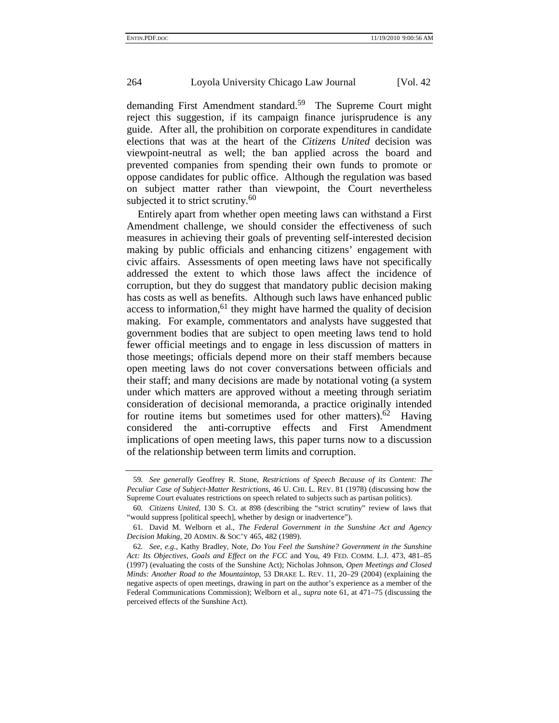demanding First Amendment standard.<sup>59</sup> The Supreme Court might reject this suggestion, if its campaign finance jurisprudence is any guide. After all, the prohibition on corporate expenditures in candidate elections that was at the heart of the *Citizens United* decision was viewpoint-neutral as well; the ban applied across the board and prevented companies from spending their own funds to promote or oppose candidates for public office. Although the regulation was based on subject matter rather than viewpoint, the Court nevertheless subjected it to strict scrutiny. $60$ 

Entirely apart from whether open meeting laws can withstand a First Amendment challenge, we should consider the effectiveness of such measures in achieving their goals of preventing self-interested decision making by public officials and enhancing citizens' engagement with civic affairs. Assessments of open meeting laws have not specifically addressed the extent to which those laws affect the incidence of corruption, but they do suggest that mandatory public decision making has costs as well as benefits. Although such laws have enhanced public access to information,<sup>61</sup> they might have harmed the quality of decision making. For example, commentators and analysts have suggested that government bodies that are subject to open meeting laws tend to hold fewer official meetings and to engage in less discussion of matters in those meetings; officials depend more on their staff members because open meeting laws do not cover conversations between officials and their staff; and many decisions are made by notational voting (a system under which matters are approved without a meeting through seriatim consideration of decisional memoranda, a practice originally intended for routine items but sometimes used for other matters).<sup>62</sup> Having considered the anti-corruptive effects and First Amendment implications of open meeting laws, this paper turns now to a discussion of the relationship between term limits and corruption.

<sup>59</sup>*. See generally* Geoffrey R. Stone, *Restrictions of Speech Because of its Content: The Peculiar Case of Subject-Matter Restrictions*, 46 U. CHI. L. REV. 81 (1978) (discussing how the Supreme Court evaluates restrictions on speech related to subjects such as partisan politics).

<sup>60</sup>*. Citizens United*, 130 S. Ct. at 898 (describing the "strict scrutiny" review of laws that "would suppress [political speech], whether by design or inadvertence").

<sup>61.</sup> David M. Welborn et al., *The Federal Government in the Sunshine Act and Agency Decision Making*, 20 ADMIN. & SOC'Y 465, 482 (1989).

<sup>62</sup>*. See, e.g.*, Kathy Bradley, Note, *Do You Feel the Sunshine? Government in the Sunshine Act: Its Objectives, Goals and Effect on the FCC* and You, 49 FED. COMM. L.J. 473, 481–85 (1997) (evaluating the costs of the Sunshine Act); Nicholas Johnson, *Open Meetings and Closed Minds: Another Road to the Mountaintop*, 53 DRAKE L. REV. 11, 20–29 (2004) (explaining the negative aspects of open meetings, drawing in part on the author's experience as a member of the Federal Communications Commission); Welborn et al., *supra* note 61, at 471–75 (discussing the perceived effects of the Sunshine Act).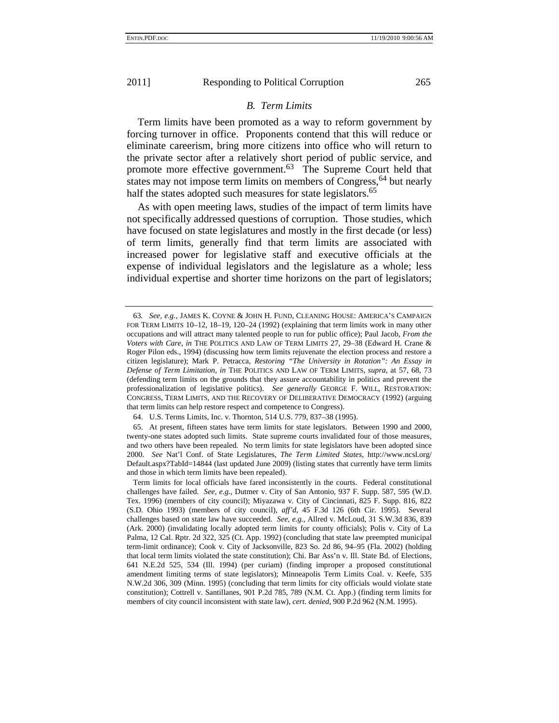#### *B. Term Limits*

Term limits have been promoted as a way to reform government by forcing turnover in office. Proponents contend that this will reduce or eliminate careerism, bring more citizens into office who will return to the private sector after a relatively short period of public service, and promote more effective government.<sup>63</sup> The Supreme Court held that states may not impose term limits on members of Congress, <sup>64</sup> but nearly half the states adopted such measures for state legislators.<sup>65</sup>

As with open meeting laws, studies of the impact of term limits have not specifically addressed questions of corruption. Those studies, which have focused on state legislatures and mostly in the first decade (or less) of term limits, generally find that term limits are associated with increased power for legislative staff and executive officials at the expense of individual legislators and the legislature as a whole; less individual expertise and shorter time horizons on the part of legislators;

<sup>63</sup>*. See, e.g.*, JAMES K. COYNE & JOHN H. FUND, CLEANING HOUSE: AMERICA'S CAMPAIGN FOR TERM LIMITS 10–12, 18–19, 120–24 (1992) (explaining that term limits work in many other occupations and will attract many talented people to run for public office); Paul Jacob, *From the Voters with Care*, *in* THE POLITICS AND LAW OF TERM LIMITS 27, 29–38 (Edward H. Crane & Roger Pilon eds., 1994) (discussing how term limits rejuvenate the election process and restore a citizen legislature); Mark P. Petracca, *Restoring "The University in Rotation": An Essay in Defense of Term Limitation*, *in* THE POLITICS AND LAW OF TERM LIMITS, *supra*, at 57, 68, 73 (defending term limits on the grounds that they assure accountability in politics and prevent the professionalization of legislative politics). *See generally* GEORGE F. WILL, RESTORATION: CONGRESS, TERM LIMITS, AND THE RECOVERY OF DELIBERATIVE DEMOCRACY (1992) (arguing that term limits can help restore respect and competence to Congress).

<sup>64.</sup> U.S. Terms Limits, Inc. v. Thornton, 514 U.S. 779, 837–38 (1995).

<sup>65.</sup> At present, fifteen states have term limits for state legislators. Between 1990 and 2000, twenty-one states adopted such limits. State supreme courts invalidated four of those measures, and two others have been repealed. No term limits for state legislators have been adopted since 2000. *See* Nat'l Conf. of State Legislatures, *The Term Limited States*, http://www.ncsl.org/ Default.aspx?TabId=14844 (last updated June 2009) (listing states that currently have term limits and those in which term limits have been repealed).

Term limits for local officials have fared inconsistently in the courts. Federal constitutional challenges have failed. *See, e.g.*, Dutmer v. City of San Antonio, 937 F. Supp. 587, 595 (W.D. Tex. 1996) (members of city council); Miyazawa v. City of Cincinnati, 825 F. Supp. 816, 822 (S.D. Ohio 1993) (members of city council), *aff'd*, 45 F.3d 126 (6th Cir. 1995). Several challenges based on state law have succeeded. *See, e.g.*, Allred v. McLoud, 31 S.W.3d 836, 839 (Ark. 2000) (invalidating locally adopted term limits for county officials); Polis v. City of La Palma, 12 Cal. Rptr. 2d 322, 325 (Ct. App. 1992) (concluding that state law preempted municipal term-limit ordinance); Cook v. City of Jacksonville, 823 So. 2d 86, 94–95 (Fla. 2002) (holding that local term limits violated the state constitution); Chi. Bar Ass'n v. Ill. State Bd. of Elections, 641 N.E.2d 525, 534 (Ill. 1994) (per curiam) (finding improper a proposed constitutional amendment limiting terms of state legislators); Minneapolis Term Limits Coal. v. Keefe, 535 N.W.2d 306, 309 (Minn. 1995) (concluding that term limits for city officials would violate state constitution); Cottrell v. Santillanes, 901 P.2d 785, 789 (N.M. Ct. App.) (finding term limits for members of city council inconsistent with state law), *cert. denied*, 900 P.2d 962 (N.M. 1995).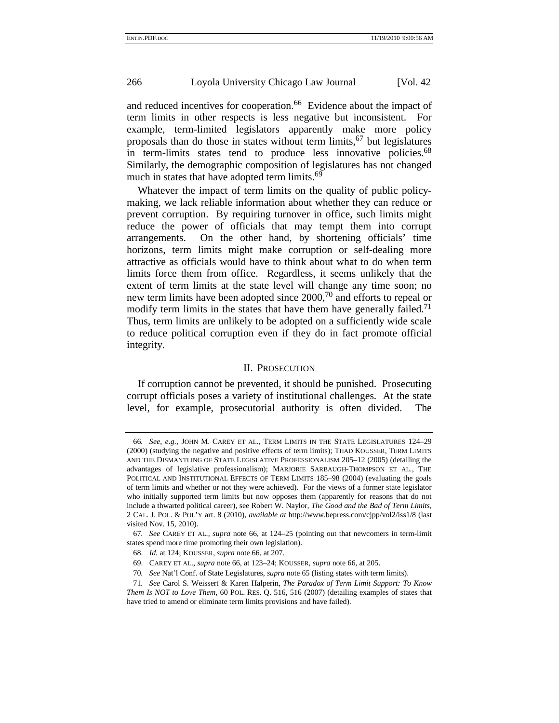and reduced incentives for cooperation.<sup>66</sup> Evidence about the impact of term limits in other respects is less negative but inconsistent. For example, term-limited legislators apparently make more policy proposals than do those in states without term limits,  $67$  but legislatures in term-limits states tend to produce less innovative policies.<sup>68</sup> Similarly, the demographic composition of legislatures has not changed much in states that have adopted term limits.<sup>69</sup>

Whatever the impact of term limits on the quality of public policymaking, we lack reliable information about whether they can reduce or prevent corruption. By requiring turnover in office, such limits might reduce the power of officials that may tempt them into corrupt arrangements. On the other hand, by shortening officials' time horizons, term limits might make corruption or self-dealing more attractive as officials would have to think about what to do when term limits force them from office. Regardless, it seems unlikely that the extent of term limits at the state level will change any time soon; no new term limits have been adopted since 2000,<sup>70</sup> and efforts to repeal or modify term limits in the states that have them have generally failed.<sup>71</sup> Thus, term limits are unlikely to be adopted on a sufficiently wide scale to reduce political corruption even if they do in fact promote official integrity.

#### II. PROSECUTION

If corruption cannot be prevented, it should be punished. Prosecuting corrupt officials poses a variety of institutional challenges. At the state level, for example, prosecutorial authority is often divided. The

<sup>66</sup>*. See, e.g.*, JOHN M. CAREY ET AL., TERM LIMITS IN THE STATE LEGISLATURES 124–29 (2000) (studying the negative and positive effects of term limits); THAD KOUSSER, TERM LIMITS AND THE DISMANTLING OF STATE LEGISLATIVE PROFESSIONALISM 205–12 (2005) (detailing the advantages of legislative professionalism); MARJORIE SARBAUGH-THOMPSON ET AL., THE POLITICAL AND INSTITUTIONAL EFFECTS OF TERM LIMITS 185–98 (2004) (evaluating the goals of term limits and whether or not they were achieved). For the views of a former state legislator who initially supported term limits but now opposes them (apparently for reasons that do not include a thwarted political career), see Robert W. Naylor, *The Good and the Bad of Term Limits*, 2 CAL. J. POL. & POL'Y art. 8 (2010), *available at* http://www.bepress.com/cjpp/vol2/iss1/8 (last visited Nov. 15, 2010).

<sup>67</sup>*. See* CAREY ET AL., *supra* note 66, at 124–25 (pointing out that newcomers in term-limit states spend more time promoting their own legislation).

<sup>68.</sup> *Id.* at 124; KOUSSER, *supra* note 66, at 207.

<sup>69.</sup> CAREY ET AL., *supra* note 66, at 123–24; KOUSSER, *supra* note 66, at 205.

<sup>70</sup>*. See* Nat'l Conf. of State Legislatures, *supra* note 65 (listing states with term limits).

<sup>71</sup>*. See* Carol S. Weissert & Karen Halperin, *The Paradox of Term Limit Support: To Know Them Is NOT to Love Them,* 60 POL. RES. Q. 516, 516 (2007) (detailing examples of states that have tried to amend or eliminate term limits provisions and have failed).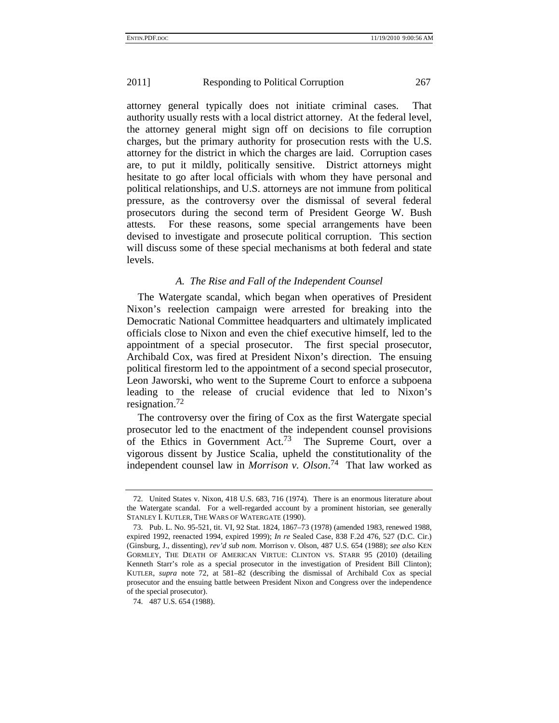attorney general typically does not initiate criminal cases. That authority usually rests with a local district attorney. At the federal level, the attorney general might sign off on decisions to file corruption charges, but the primary authority for prosecution rests with the U.S. attorney for the district in which the charges are laid. Corruption cases are, to put it mildly, politically sensitive. District attorneys might hesitate to go after local officials with whom they have personal and political relationships, and U.S. attorneys are not immune from political pressure, as the controversy over the dismissal of several federal prosecutors during the second term of President George W. Bush attests. For these reasons, some special arrangements have been devised to investigate and prosecute political corruption. This section will discuss some of these special mechanisms at both federal and state levels.

## *A. The Rise and Fall of the Independent Counsel*

The Watergate scandal, which began when operatives of President Nixon's reelection campaign were arrested for breaking into the Democratic National Committee headquarters and ultimately implicated officials close to Nixon and even the chief executive himself, led to the appointment of a special prosecutor. The first special prosecutor, Archibald Cox, was fired at President Nixon's direction. The ensuing political firestorm led to the appointment of a second special prosecutor, Leon Jaworski, who went to the Supreme Court to enforce a subpoena leading to the release of crucial evidence that led to Nixon's resignation.72

The controversy over the firing of Cox as the first Watergate special prosecutor led to the enactment of the independent counsel provisions of the Ethics in Government Act.<sup>73</sup> The Supreme Court, over a vigorous dissent by Justice Scalia, upheld the constitutionality of the independent counsel law in *Morrison v. Olson*. 74 That law worked as

<sup>72.</sup> United States v. Nixon, 418 U.S. 683, 716 (1974). There is an enormous literature about the Watergate scandal. For a well-regarded account by a prominent historian, see generally STANLEY I. KUTLER, THE WARS OF WATERGATE (1990).

<sup>73.</sup> Pub. L. No. 95-521, tit. VI, 92 Stat. 1824, 1867–73 (1978) (amended 1983, renewed 1988, expired 1992, reenacted 1994, expired 1999); *In re* Sealed Case, 838 F.2d 476, 527 (D.C. Cir.) (Ginsburg, J., dissenting), *rev'd sub nom.* Morrison v. Olson, 487 U.S. 654 (1988); *see also* KEN GORMLEY, THE DEATH OF AMERICAN VIRTUE: CLINTON VS. STARR 95 (2010) (detailing Kenneth Starr's role as a special prosecutor in the investigation of President Bill Clinton); KUTLER, *supra* note 72, at 581–82 (describing the dismissal of Archibald Cox as special prosecutor and the ensuing battle between President Nixon and Congress over the independence of the special prosecutor).

<sup>74. 487</sup> U.S. 654 (1988).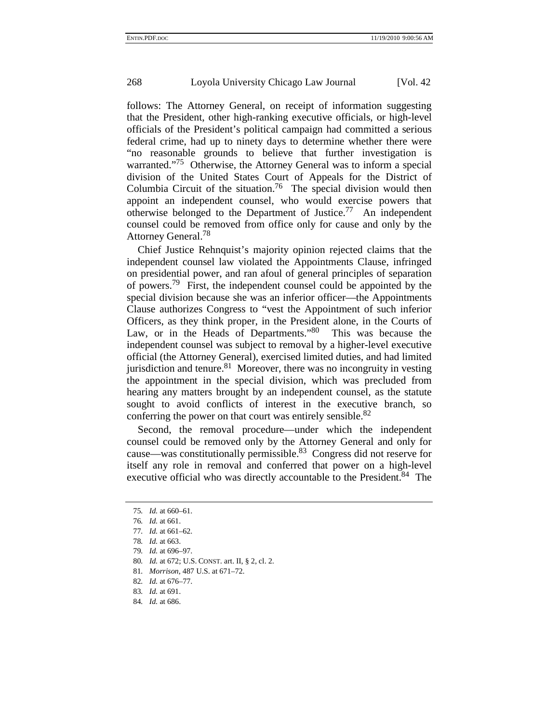follows: The Attorney General, on receipt of information suggesting that the President, other high-ranking executive officials, or high-level officials of the President's political campaign had committed a serious federal crime, had up to ninety days to determine whether there were "no reasonable grounds to believe that further investigation is warranted."<sup>75</sup> Otherwise, the Attorney General was to inform a special division of the United States Court of Appeals for the District of Columbia Circuit of the situation.<sup>76</sup> The special division would then appoint an independent counsel, who would exercise powers that otherwise belonged to the Department of Justice.<sup>77</sup> An independent counsel could be removed from office only for cause and only by the Attorney General.<sup>78</sup>

Chief Justice Rehnquist's majority opinion rejected claims that the independent counsel law violated the Appointments Clause, infringed on presidential power, and ran afoul of general principles of separation of powers.<sup>79</sup> First, the independent counsel could be appointed by the special division because she was an inferior officer—the Appointments Clause authorizes Congress to "vest the Appointment of such inferior Officers, as they think proper, in the President alone, in the Courts of Law, or in the Heads of Departments.<sup>80</sup> This was because the independent counsel was subject to removal by a higher-level executive official (the Attorney General), exercised limited duties, and had limited jurisdiction and tenure.<sup>81</sup> Moreover, there was no incongruity in vesting the appointment in the special division, which was precluded from hearing any matters brought by an independent counsel, as the statute sought to avoid conflicts of interest in the executive branch, so conferring the power on that court was entirely sensible.<sup>82</sup>

Second, the removal procedure—under which the independent counsel could be removed only by the Attorney General and only for cause—was constitutionally permissible.<sup>83</sup> Congress did not reserve for itself any role in removal and conferred that power on a high-level executive official who was directly accountable to the President.<sup>84</sup> The

- 80*. Id.* at 672; U.S. CONST. art. II, § 2, cl. 2.
- 81*. Morrison*, 487 U.S. at 671–72.
- 82*. Id.* at 676–77.
- 83*. Id.* at 691.
- 84*. Id.* at 686.

<sup>75</sup>*. Id.* at 660–61.

<sup>76</sup>*. Id.* at 661.

<sup>77</sup>*. Id.* at 661–62.

<sup>78</sup>*. Id.* at 663.

<sup>79</sup>*. Id.* at 696–97.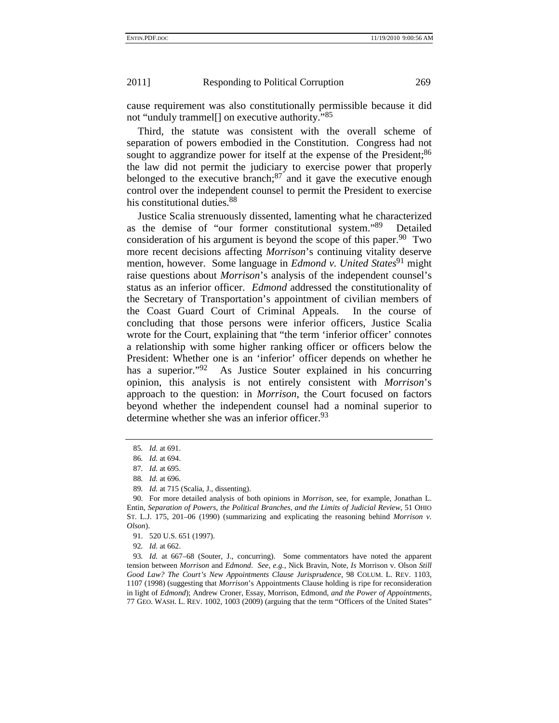cause requirement was also constitutionally permissible because it did not "unduly trammel<sup>[]</sup> on executive authority."<sup>85</sup>

Third, the statute was consistent with the overall scheme of separation of powers embodied in the Constitution. Congress had not sought to aggrandize power for itself at the expense of the President;<sup>86</sup> the law did not permit the judiciary to exercise power that properly belonged to the executive branch; $^{87}$  and it gave the executive enough control over the independent counsel to permit the President to exercise his constitutional duties.<sup>88</sup>

Justice Scalia strenuously dissented, lamenting what he characterized as the demise of "our former constitutional system."<sup>89</sup> Detailed consideration of his argument is beyond the scope of this paper.<sup>90</sup> Two more recent decisions affecting *Morrison*'s continuing vitality deserve mention, however. Some language in *Edmond v. United States*<sup>91</sup> might raise questions about *Morrison*'s analysis of the independent counsel's status as an inferior officer. *Edmond* addressed the constitutionality of the Secretary of Transportation's appointment of civilian members of the Coast Guard Court of Criminal Appeals. In the course of concluding that those persons were inferior officers, Justice Scalia wrote for the Court, explaining that "the term 'inferior officer' connotes a relationship with some higher ranking officer or officers below the President: Whether one is an 'inferior' officer depends on whether he has a superior."<sup>92</sup> As Justice Souter explained in his concurring opinion, this analysis is not entirely consistent with *Morrison*'s approach to the question: in *Morrison*, the Court focused on factors beyond whether the independent counsel had a nominal superior to determine whether she was an inferior officer.  $93$ 

<sup>85</sup>*. Id.* at 691.

<sup>86</sup>*. Id.* at 694.

<sup>87</sup>*. Id.* at 695.

<sup>88</sup>*. Id.* at 696.

<sup>89</sup>*. Id.* at 715 (Scalia, J., dissenting).

<sup>90.</sup> For more detailed analysis of both opinions in *Morrison*, see, for example, Jonathan L. Entin, *Separation of Powers, the Political Branches, and the Limits of Judicial Review*, 51 OHIO ST. L.J. 175, 201–06 (1990) (summarizing and explicating the reasoning behind *Morrison v. Olson*).

<sup>91. 520</sup> U.S. 651 (1997).

<sup>92</sup>*. Id.* at 662.

<sup>93</sup>*. Id.* at 667–68 (Souter, J., concurring). Some commentators have noted the apparent tension between *Morrison* and *Edmond*. *See, e.g.*, Nick Bravin, Note, *Is* Morrison v. Olson *Still Good Law? The Court's New Appointments Clause Jurisprudence*, 98 COLUM. L. REV. 1103, 1107 (1998) (suggesting that *Morrison*'s Appointments Clause holding is ripe for reconsideration in light of *Edmond*); Andrew Croner, Essay, Morrison*,* Edmond*, and the Power of Appointments*, 77 GEO. WASH. L. REV. 1002, 1003 (2009) (arguing that the term "Officers of the United States"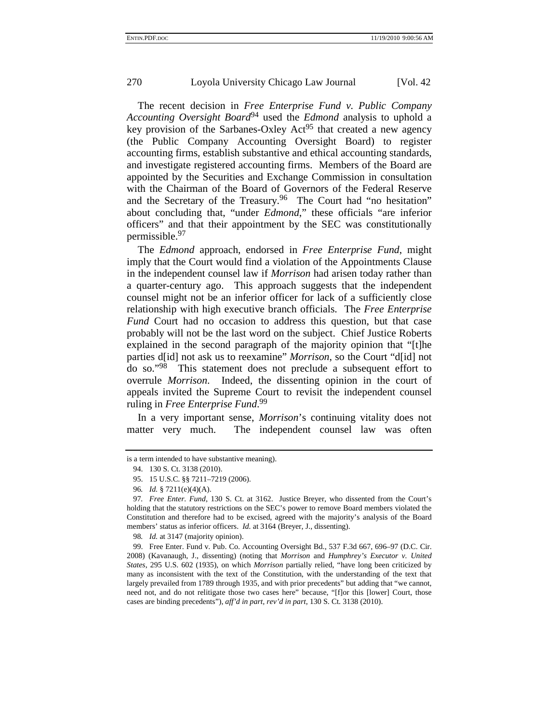The recent decision in *Free Enterprise Fund v. Public Company Accounting Oversight Board*94 used the *Edmond* analysis to uphold a key provision of the Sarbanes-Oxley  $Act^{95}$  that created a new agency (the Public Company Accounting Oversight Board) to register accounting firms, establish substantive and ethical accounting standards, and investigate registered accounting firms. Members of the Board are appointed by the Securities and Exchange Commission in consultation with the Chairman of the Board of Governors of the Federal Reserve and the Secretary of the Treasury.<sup>96</sup> The Court had "no hesitation" about concluding that, "under *Edmond*," these officials "are inferior officers" and that their appointment by the SEC was constitutionally permissible.97

The *Edmond* approach, endorsed in *Free Enterprise Fund*, might imply that the Court would find a violation of the Appointments Clause in the independent counsel law if *Morrison* had arisen today rather than a quarter-century ago. This approach suggests that the independent counsel might not be an inferior officer for lack of a sufficiently close relationship with high executive branch officials. The *Free Enterprise Fund* Court had no occasion to address this question, but that case probably will not be the last word on the subject. Chief Justice Roberts explained in the second paragraph of the majority opinion that "[t]he parties d[id] not ask us to reexamine" *Morrison*, so the Court "d[id] not do so."98 This statement does not preclude a subsequent effort to overrule *Morrison*. Indeed, the dissenting opinion in the court of appeals invited the Supreme Court to revisit the independent counsel ruling in *Free Enterprise Fund*. 99

In a very important sense, *Morrison*'s continuing vitality does not matter very much. The independent counsel law was often

is a term intended to have substantive meaning).

<sup>94. 130</sup> S. Ct. 3138 (2010).

<sup>95. 15</sup> U.S.C. §§ 7211–7219 (2006).

<sup>96</sup>*. Id.* § 7211(e)(4)(A).

<sup>97</sup>*. Free Enter. Fund*, 130 S. Ct. at 3162. Justice Breyer, who dissented from the Court's holding that the statutory restrictions on the SEC's power to remove Board members violated the Constitution and therefore had to be excised, agreed with the majority's analysis of the Board members' status as inferior officers. *Id.* at 3164 (Breyer, J., dissenting).

<sup>98</sup>*. Id.* at 3147 (majority opinion).

<sup>99.</sup> Free Enter. Fund v. Pub. Co. Accounting Oversight Bd., 537 F.3d 667, 696–97 (D.C. Cir. 2008) (Kavanaugh, J., dissenting) (noting that *Morrison* and *Humphrey's Executor v. United States*, 295 U.S. 602 (1935), on which *Morrison* partially relied, "have long been criticized by many as inconsistent with the text of the Constitution, with the understanding of the text that largely prevailed from 1789 through 1935, and with prior precedents" but adding that "we cannot, need not, and do not relitigate those two cases here" because, "[f]or this [lower] Court, those cases are binding precedents"), *aff'd in part, rev'd in part*, 130 S. Ct. 3138 (2010).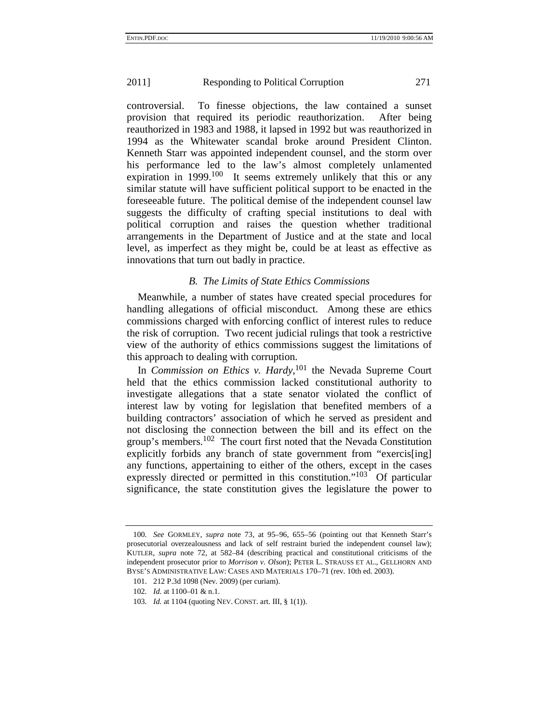controversial. To finesse objections, the law contained a sunset provision that required its periodic reauthorization. After being reauthorized in 1983 and 1988, it lapsed in 1992 but was reauthorized in 1994 as the Whitewater scandal broke around President Clinton. Kenneth Starr was appointed independent counsel, and the storm over his performance led to the law's almost completely unlamented expiration in  $1999$ <sup>100</sup> It seems extremely unlikely that this or any similar statute will have sufficient political support to be enacted in the foreseeable future. The political demise of the independent counsel law suggests the difficulty of crafting special institutions to deal with political corruption and raises the question whether traditional arrangements in the Department of Justice and at the state and local level, as imperfect as they might be, could be at least as effective as innovations that turn out badly in practice.

## *B. The Limits of State Ethics Commissions*

Meanwhile, a number of states have created special procedures for handling allegations of official misconduct. Among these are ethics commissions charged with enforcing conflict of interest rules to reduce the risk of corruption. Two recent judicial rulings that took a restrictive view of the authority of ethics commissions suggest the limitations of this approach to dealing with corruption.

In *Commission on Ethics v. Hardy*, 101 the Nevada Supreme Court held that the ethics commission lacked constitutional authority to investigate allegations that a state senator violated the conflict of interest law by voting for legislation that benefited members of a building contractors' association of which he served as president and not disclosing the connection between the bill and its effect on the group's members.<sup>102</sup> The court first noted that the Nevada Constitution explicitly forbids any branch of state government from "exercis[ing] any functions, appertaining to either of the others, except in the cases expressly directed or permitted in this constitution."<sup>103</sup> Of particular significance, the state constitution gives the legislature the power to

<sup>100</sup>*. See* GORMLEY, *supra* note 73, at 95–96, 655–56 (pointing out that Kenneth Starr's prosecutorial overzealousness and lack of self restraint buried the independent counsel law); KUTLER, *supra* note 72, at 582–84 (describing practical and constitutional criticisms of the independent prosecutor prior to *Morrison v. Olson*); PETER L. STRAUSS ET AL., GELLHORN AND BYSE'S ADMINISTRATIVE LAW: CASES AND MATERIALS 170–71 (rev. 10th ed. 2003).

<sup>101. 212</sup> P.3d 1098 (Nev. 2009) (per curiam).

<sup>102</sup>*. Id.* at 1100–01 & n.1.

<sup>103</sup>*. Id.* at 1104 (quoting NEV. CONST. art. III, § 1(1)).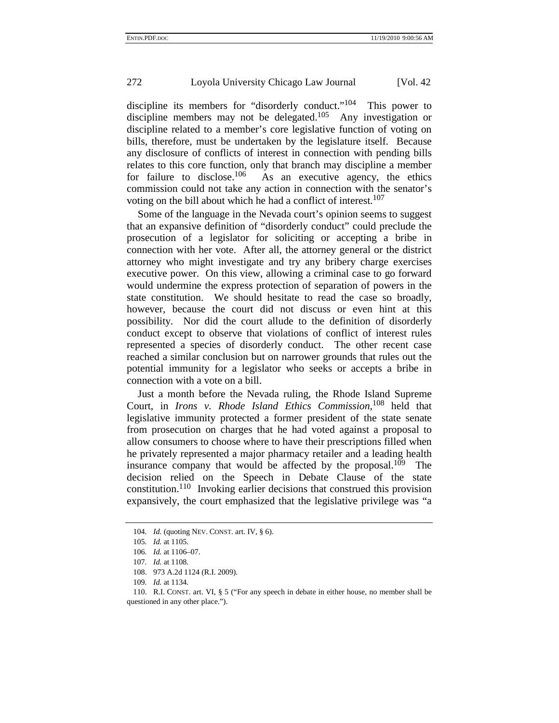discipline its members for "disorderly conduct."<sup>104</sup> This power to discipline members may not be delegated.<sup>105</sup> Any investigation or discipline related to a member's core legislative function of voting on bills, therefore, must be undertaken by the legislature itself. Because any disclosure of conflicts of interest in connection with pending bills relates to this core function, only that branch may discipline a member<br>for failure to disclose.<sup>106</sup> As an executive agency, the ethics As an executive agency, the ethics commission could not take any action in connection with the senator's voting on the bill about which he had a conflict of interest.<sup>107</sup>

Some of the language in the Nevada court's opinion seems to suggest that an expansive definition of "disorderly conduct" could preclude the prosecution of a legislator for soliciting or accepting a bribe in connection with her vote. After all, the attorney general or the district attorney who might investigate and try any bribery charge exercises executive power. On this view, allowing a criminal case to go forward would undermine the express protection of separation of powers in the state constitution. We should hesitate to read the case so broadly, however, because the court did not discuss or even hint at this possibility. Nor did the court allude to the definition of disorderly conduct except to observe that violations of conflict of interest rules represented a species of disorderly conduct. The other recent case reached a similar conclusion but on narrower grounds that rules out the potential immunity for a legislator who seeks or accepts a bribe in connection with a vote on a bill.

Just a month before the Nevada ruling, the Rhode Island Supreme Court, in *Irons v. Rhode Island Ethics Commission*, 108 held that legislative immunity protected a former president of the state senate from prosecution on charges that he had voted against a proposal to allow consumers to choose where to have their prescriptions filled when he privately represented a major pharmacy retailer and a leading health insurance company that would be affected by the proposal.<sup>109</sup> The decision relied on the Speech in Debate Clause of the state constitution.<sup>110</sup> Invoking earlier decisions that construed this provision expansively, the court emphasized that the legislative privilege was "a

<sup>104</sup>*. Id.* (quoting NEV. CONST. art. IV, § 6).

<sup>105</sup>*. Id.* at 1105.

<sup>106</sup>*. Id.* at 1106–07.

<sup>107</sup>*. Id.* at 1108.

<sup>108. 973</sup> A.2d 1124 (R.I. 2009).

<sup>109</sup>*. Id.* at 1134.

<sup>110.</sup> R.I. CONST. art. VI, § 5 ("For any speech in debate in either house, no member shall be questioned in any other place.").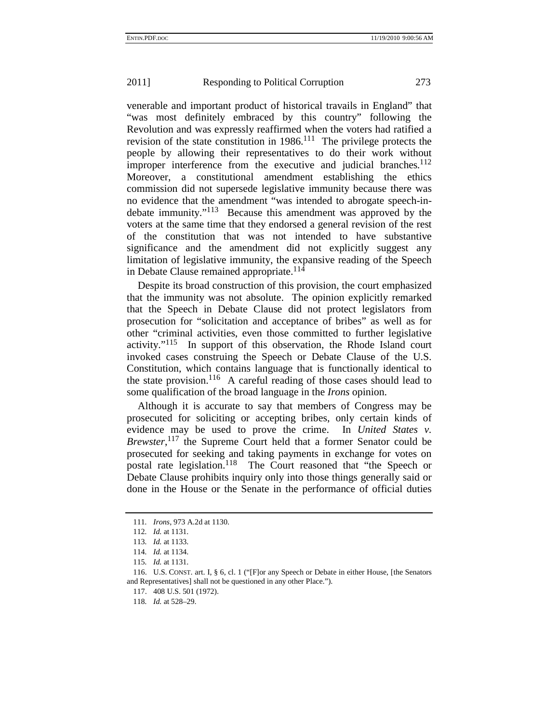venerable and important product of historical travails in England" that "was most definitely embraced by this country" following the Revolution and was expressly reaffirmed when the voters had ratified a revision of the state constitution in  $1986$ <sup>111</sup>. The privilege protects the people by allowing their representatives to do their work without improper interference from the executive and judicial branches.  $112$ Moreover, a constitutional amendment establishing the ethics commission did not supersede legislative immunity because there was no evidence that the amendment "was intended to abrogate speech-indebate immunity."113 Because this amendment was approved by the voters at the same time that they endorsed a general revision of the rest of the constitution that was not intended to have substantive significance and the amendment did not explicitly suggest any limitation of legislative immunity, the expansive reading of the Speech in Debate Clause remained appropriate.<sup>114</sup>

Despite its broad construction of this provision, the court emphasized that the immunity was not absolute. The opinion explicitly remarked that the Speech in Debate Clause did not protect legislators from prosecution for "solicitation and acceptance of bribes" as well as for other "criminal activities, even those committed to further legislative activity."115 In support of this observation, the Rhode Island court invoked cases construing the Speech or Debate Clause of the U.S. Constitution, which contains language that is functionally identical to the state provision.<sup>116</sup> A careful reading of those cases should lead to some qualification of the broad language in the *Irons* opinion.

Although it is accurate to say that members of Congress may be prosecuted for soliciting or accepting bribes, only certain kinds of evidence may be used to prove the crime. In *United States v. Brewster*, 117 the Supreme Court held that a former Senator could be prosecuted for seeking and taking payments in exchange for votes on postal rate legislation.<sup>118</sup> The Court reasoned that "the Speech or Debate Clause prohibits inquiry only into those things generally said or done in the House or the Senate in the performance of official duties

<sup>111</sup>*. Irons*, 973 A.2d at 1130.

<sup>112</sup>*. Id.* at 1131.

<sup>113</sup>*. Id.* at 1133.

<sup>114</sup>*. Id.* at 1134.

<sup>115</sup>*. Id.* at 1131.

<sup>116.</sup> U.S. CONST. art. I, § 6, cl. 1 ("[F]or any Speech or Debate in either House, [the Senators and Representatives] shall not be questioned in any other Place.").

<sup>117. 408</sup> U.S. 501 (1972).

<sup>118</sup>*. Id.* at 528–29.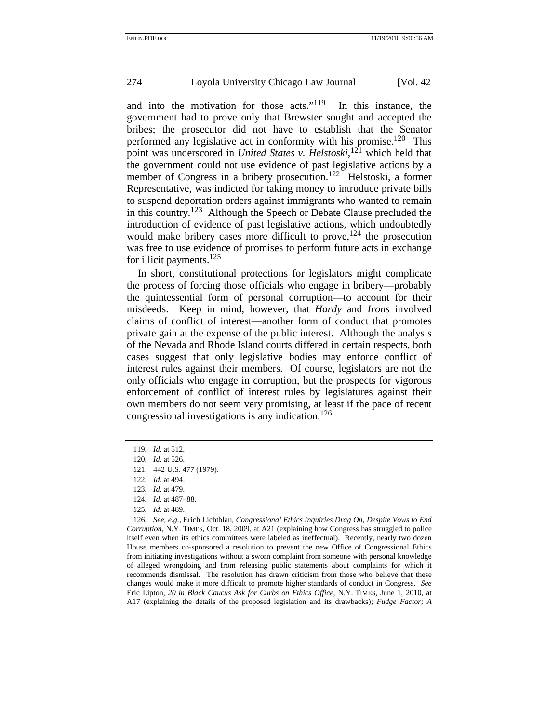and into the motivation for those acts."<sup>119</sup> In this instance, the government had to prove only that Brewster sought and accepted the bribes; the prosecutor did not have to establish that the Senator performed any legislative act in conformity with his promise.<sup>120</sup> This point was underscored in *United States v. Helstoski*, 121 which held that the government could not use evidence of past legislative actions by a member of Congress in a bribery prosecution.<sup>122</sup> Helstoski, a former Representative, was indicted for taking money to introduce private bills to suspend deportation orders against immigrants who wanted to remain in this country.<sup>123</sup> Although the Speech or Debate Clause precluded the introduction of evidence of past legislative actions, which undoubtedly would make bribery cases more difficult to prove,  $124$  the prosecution was free to use evidence of promises to perform future acts in exchange for illicit payments.125

In short, constitutional protections for legislators might complicate the process of forcing those officials who engage in bribery—probably the quintessential form of personal corruption—to account for their misdeeds. Keep in mind, however, that *Hardy* and *Irons* involved claims of conflict of interest—another form of conduct that promotes private gain at the expense of the public interest. Although the analysis of the Nevada and Rhode Island courts differed in certain respects, both cases suggest that only legislative bodies may enforce conflict of interest rules against their members. Of course, legislators are not the only officials who engage in corruption, but the prospects for vigorous enforcement of conflict of interest rules by legislatures against their own members do not seem very promising, at least if the pace of recent congressional investigations is any indication.<sup>126</sup>

- 119*. Id.* at 512.
- 120*. Id.* at 526.
- 121. 442 U.S. 477 (1979).
- 122*. Id.* at 494.
- 123*. Id.* at 479.
- 124*. Id.* at 487–88.
- 125*. Id.* at 489.

126*. See, e.g.*, Erich Lichtblau, *Congressional Ethics Inquiries Drag On, Despite Vows to End Corruption*, N.Y. TIMES, Oct. 18, 2009, at A21 (explaining how Congress has struggled to police itself even when its ethics committees were labeled as ineffectual). Recently, nearly two dozen House members co-sponsored a resolution to prevent the new Office of Congressional Ethics from initiating investigations without a sworn complaint from someone with personal knowledge of alleged wrongdoing and from releasing public statements about complaints for which it recommends dismissal. The resolution has drawn criticism from those who believe that these changes would make it more difficult to promote higher standards of conduct in Congress. *See*  Eric Lipton, *20 in Black Caucus Ask for Curbs on Ethics Office*, N.Y. TIMES, June 1, 2010, at A17 (explaining the details of the proposed legislation and its drawbacks); *Fudge Factor; A*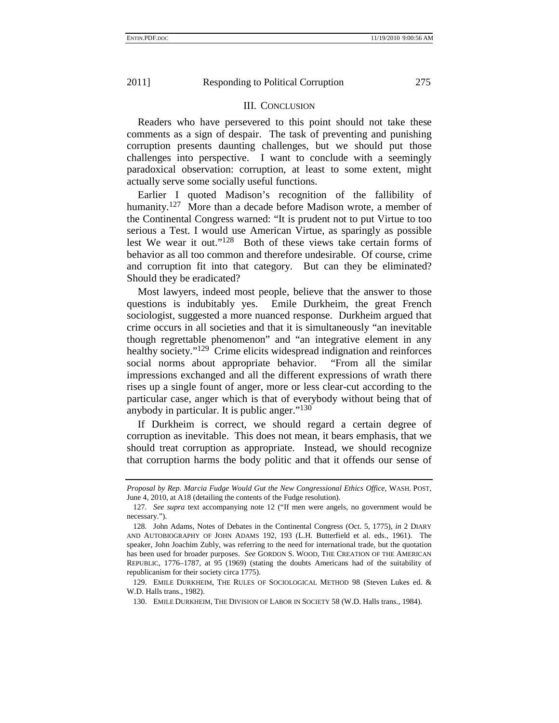#### III. CONCLUSION

Readers who have persevered to this point should not take these comments as a sign of despair. The task of preventing and punishing corruption presents daunting challenges, but we should put those challenges into perspective. I want to conclude with a seemingly paradoxical observation: corruption, at least to some extent, might actually serve some socially useful functions.

Earlier I quoted Madison's recognition of the fallibility of humanity.<sup>127</sup> More than a decade before Madison wrote, a member of the Continental Congress warned: "It is prudent not to put Virtue to too serious a Test. I would use American Virtue, as sparingly as possible lest We wear it out."128 Both of these views take certain forms of behavior as all too common and therefore undesirable. Of course, crime and corruption fit into that category. But can they be eliminated? Should they be eradicated?

Most lawyers, indeed most people, believe that the answer to those questions is indubitably yes. Emile Durkheim, the great French sociologist, suggested a more nuanced response. Durkheim argued that crime occurs in all societies and that it is simultaneously "an inevitable though regrettable phenomenon" and "an integrative element in any healthy society."<sup>129</sup> Crime elicits widespread indignation and reinforces social norms about appropriate behavior. "From all the similar impressions exchanged and all the different expressions of wrath there rises up a single fount of anger, more or less clear-cut according to the particular case, anger which is that of everybody without being that of anybody in particular. It is public anger."130

If Durkheim is correct, we should regard a certain degree of corruption as inevitable. This does not mean, it bears emphasis, that we should treat corruption as appropriate. Instead, we should recognize that corruption harms the body politic and that it offends our sense of

*Proposal by Rep. Marcia Fudge Would Gut the New Congressional Ethics Office*, WASH. POST, June 4, 2010, at A18 (detailing the contents of the Fudge resolution).

<sup>127</sup>*. See supra* text accompanying note 12 ("If men were angels, no government would be necessary.").

<sup>128</sup>*.* John Adams, Notes of Debates in the Continental Congress (Oct. 5, 1775), *in* 2 DIARY AND AUTOBIOGRAPHY OF JOHN ADAMS 192, 193 (L.H. Butterfield et al. eds., 1961). The speaker, John Joachim Zubly, was referring to the need for international trade, but the quotation has been used for broader purposes. *See* GORDON S. WOOD, THE CREATION OF THE AMERICAN REPUBLIC, 1776–1787, at 95 (1969) (stating the doubts Americans had of the suitability of republicanism for their society circa 1775).

<sup>129.</sup> EMILE DURKHEIM, THE RULES OF SOCIOLOGICAL METHOD 98 (Steven Lukes ed. & W.D. Halls trans., 1982).

<sup>130.</sup> EMILE DURKHEIM, THE DIVISION OF LABOR IN SOCIETY 58 (W.D. Halls trans., 1984).